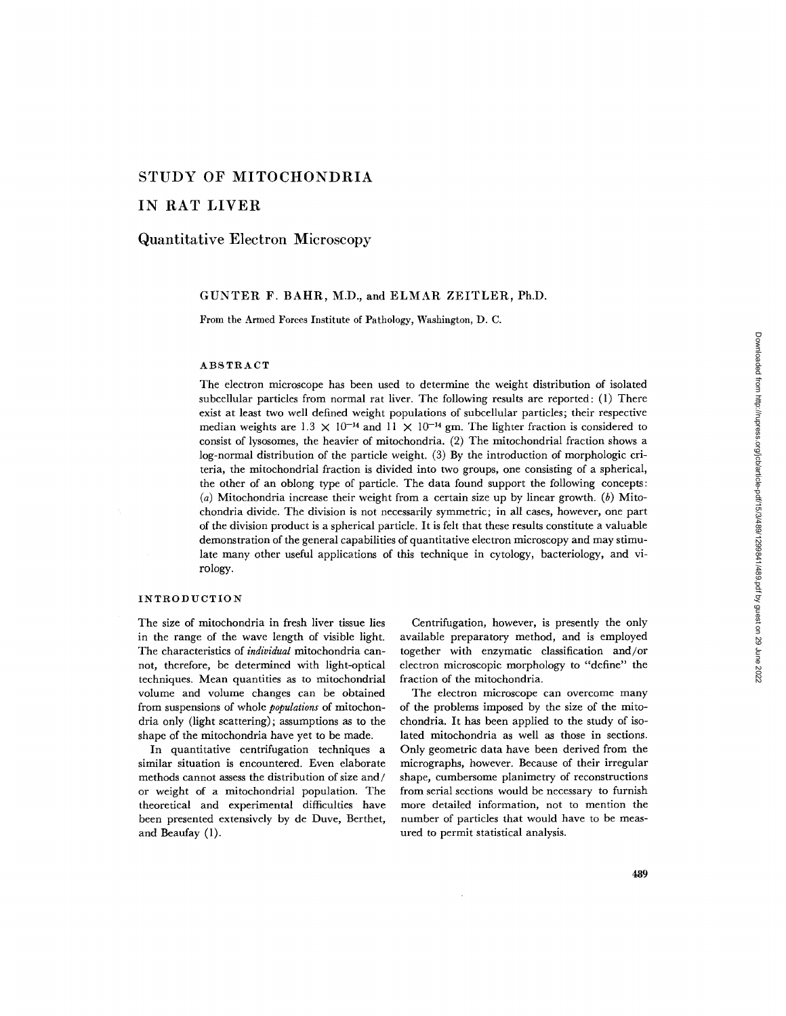# **STUDY OF MITOCHONDRIA**

# **IN RAT LIVER**

# **Quantitative Electron Microscopy**

# GUNTER F. BAHR, M.D., and ELMAR ZEITLER, Ph.D.

From the Armed Forces Institute of Pathology, Washington, D. C.

### ABSTRACT

The electron microscope has been used to determine the weight distribution of isolated subcellular particles from normal rat liver. The following results are reported: (1) There exist at least two well defined weight populations of subcellular particles; their respective median weights are 1.3  $\times$  10<sup>-14</sup> and 11  $\times$  10<sup>-14</sup> gm. The lighter fraction is considered to consist of lysosomes, the heavier of mitochondria. (2) The mitochondrial fraction shows a log-normal distribution of the particle weight. (3) By the introduction of morphologic criteria, the mitochondrial fraction is divided into two groups, one consisting of a spherical, the other of an oblong type of particle. The data found support the following concepts: (a) Mitochondria increase their weight from a certain size up by linear growth. (b) Mitochondria divide. The division is not necessarily symmetric; in all cases, however, one part of the division product is a spherical particle. It is felt that these results constitute a valuable demonstration of the general capabilities of quantitative electron microscopy and may stimulate many other useful applications of this technique in cytology, bacteriology, and virology.

# INTRODUCTION

The size of mitochondria in fresh liver tissue lies in the range of the wave length of visible light. The characteristics of *individual* mitochondria cannot, therefore, be determined with light-optical techniques. Mean quantities as to mitochondrial volume and volume changes can be obtained from suspensions of whole *populations* of mitochondria only (light scattering); assumptions as to the shape of the mitochondria have yet to be made.

In quantitative centrifugation techniques a similar situation is encountered. Even elaborate methods cannot assess the distribution of size and/ or weight of a mitochondrial population. The theoretical and experimental difficulties have been presented extensively by de Duve, Berthet, and Beaufay (1).

Centrifugation, however, is presently the only available preparatory method, and is employed together with enzymatic classification and/or electron microscopic morphology to "define" the fraction of the mitochondria.

The electron microscope can overcome many of the problems imposed by the size of the mitochondria. It has been applied to the study of isolated mitochondria as well as those in sections. Only geometric data have been derived from the micrographs, however. Because of their irregular shape, cumbersome planimetry of reconstructions from serial sections would be necessary to furnish more detailed information, not to mention the number of particles that would have to be measured to permit statistical analysis.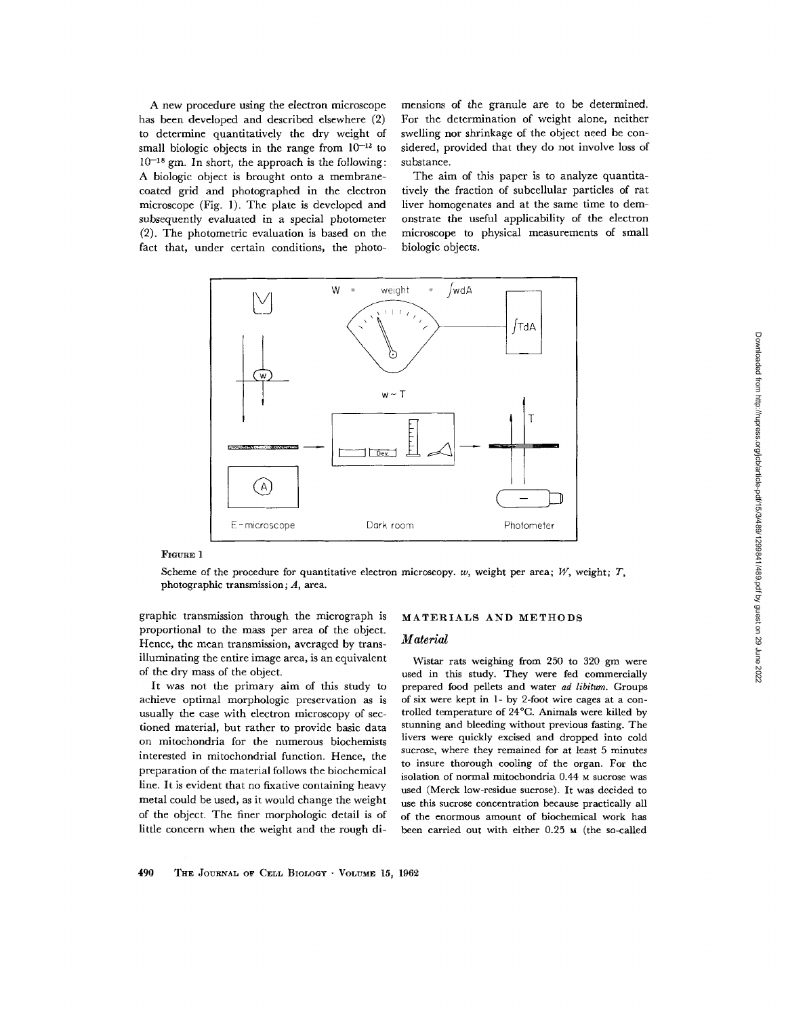A new procedure using the electron microscope has been developed and described elsewhere (2) to determine quantitatively the dry weight of small biologic objects in the range from  $10^{-12}$  to  $10^{-18}$  gm. In short, the approach is the following: A biologic object is brought onto a membranecoated grid and photographed in the electron microscope (Fig. 1). The plate is developed and subsequently evaluated in a special photometer (2). The photometric evaluation is based on the fact that, under certain conditions, the photo-

mensions of the granule are to be determined. For the determination of weight alone, neither swelling nor shrinkage of the object need be considered, provided that they do not involve loss of substance.

The aim of this paper is to analyze quantitatively the fraction of subcellular particles of rat liver homogenates and at the same time to demonstrate the useful applicability of the electron microscope to physical measurements of small biologic objects.



## FIGURE 1

Scheme of the procedure for quantitative electron microscopy.  $w$ , weight per area;  $W$ , weight;  $T$ , photographic transmission; A, area.

graphic transmission through the micrograph is proportional to the mass per area of the object. Hence, the mean transmission, averaged by transilluminating the entire image area, is an equivalent of the dry mass of the object.

It was not the primary aim of this study to achieve optimal morphologic preservation as is usually the case with electron microscopy of sectioned material, but rather to provide basic data on mitochondria for the numerous biochemists interested in mitochondrial function. Hence, the preparation of the material follows the biochemical line. It is evident that no fixative containing heavy metal could be used, as it would change the weight of the object. The finer morphologic detail is of little concern when the weight and the rough di-

## MATERIALS AND METHODS

#### *Material*

Wistar rats weighing from 250 to 320 gm were used in this study. They were fed commercially prepared food pellets and water *ad libltum.* Groups of six were kept in l- by 2-foot wire cages at a controlled temperature of 24°C. Animals were killed by stunning and bleeding without previous fasting. The livers were quickly excised and droppcd into cold sucrose, where they remained for at least 5 minutes to insure thorough cooling of the organ. For the isolation of normal mitochondria 0.44 M sucrose was used (Merck low-residue sucrose). It was decided to use this sucrose concentration because practically all of the enormous amount of biochemical work has been carried out with either 0.25 M (the so-called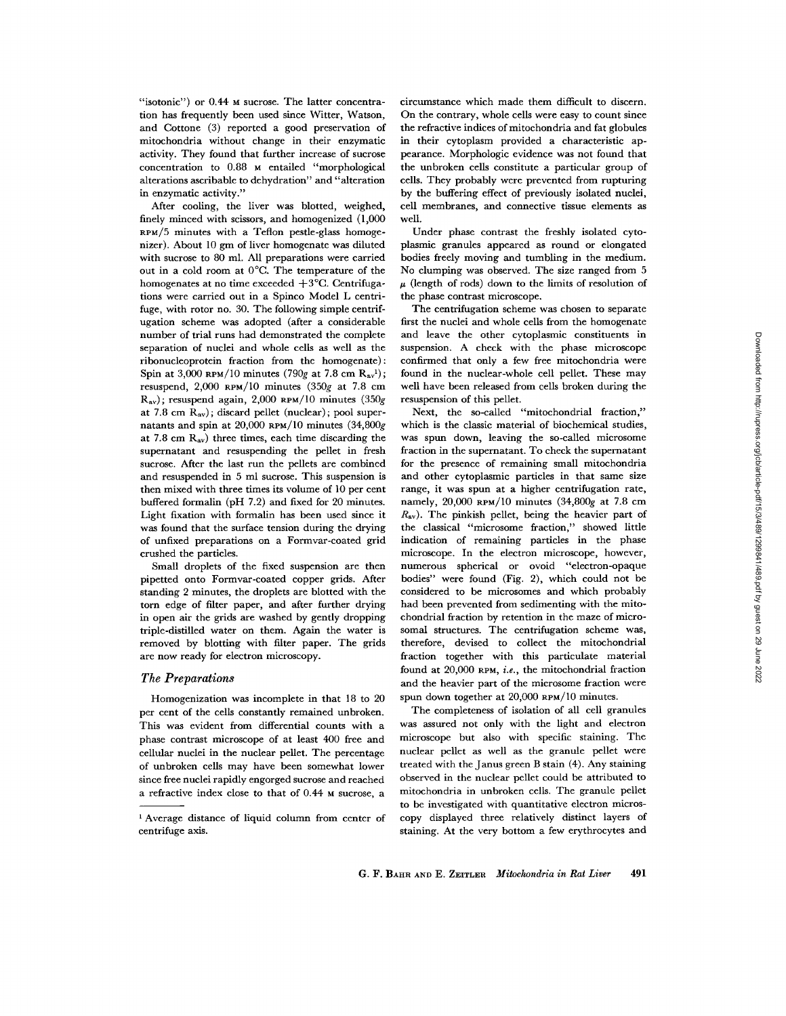"isotonic") or 0.44 M sucrose. The latter concentration has frequently been used since Witter, Watson, and Cottone (3) reported a good preservation of mitochondria without change in their enzymatic activity. They found that further increase of sucrose concentration to 0.88 M entailed "morphological alterations ascribable to dehydration" and "alteration in enzymatic activity."

After cooling, the liver was blotted, weighed, finely minced with scissors, and homogenized (1,000 RPM/5 minutes with a Teflon pestle-glass homogenizer). About 10 gm of liver homogenate was diluted with sucrose to 80 ml. All preparations were carried out in a cold room at 0°C. The temperature of the homogenates at no time exceeded  $+3^{\circ}$ C. Centrifugations were carried out in a Spinco Model L centrifuge, with rotor no. 30. The following simple centrifugation scheme was adopted (after a considerable number of trial runs had demonstrated the complete separation of nuclei and whole cells as well as the ribonucleoprotein fraction from the homogenate): Spin at 3,000 RPM/10 minutes (790g at 7.8 cm  $R_{av}$ ); resuspend, 2,000 RPM/10 minutes  $(350g$  at 7.8 cm  $R_{av}$ ; resuspend again, 2,000 RPM/10 minutes (350g) at 7.8 cm  $R_{av}$ ; discard pellet (nuclear); pool supernatants and spin at  $20,000$  RPM/10 minutes  $(34,800g)$ at 7.8 cm Ray) three times, each time discarding the supernatant and resuspending the pellet in fresh sucrose. After the last run the pellets are combined and resuspended in 5 ml sucrose. This suspension is then mixed with three times its volume of 10 per cent buffered formalin (pH 7.2) and fixed for 20 minutes. Light fixation with formalin has been used since it was found that the surface tension during the drying of unfixed preparations on a Formvar-coated grid crushed the particles.

Small droplets of the fixed suspension are then pipetted onto Formvar-coated copper grids. After standing 2 minutes, the droplets are blotted with the torn edge of filter paper, and after further drying in open air the grids are washed by gently dropping triple-distilled water on them. Again the water is removed by blotting with filter paper. The grids are now ready for electron microscopy.

## *The Preparations*

Homogenization was incomplete in that 18 to 20 per cent of the cells constantly remained unbroken. This was evident from differential counts with a phase contrast microscope of at least 400 free and cellular nuclei in the nuclear pellet. The percentage of unbroken ceils may have been somewhat lower since free nuclei rapidly engorged sucrose and reached a refractive index close to that of 0.44 M sucrose, a

circumstance which made them difficult to discern. On the contrary, whole cells were easy to count since the refractive indices of mitochondria and fat globules in their cytoplasm provided a characteristic appearance. Morphologic evidence was not found that the unbroken cells constitute a particular group of cells. They probably were prevented from rupturing by the buffering effect of previously isolated nuclei, cell membranes, and connective tissue elements as well.

Under phase contrast the freshly isolated cytoplasmic granules appeared as round or elongated bodies freely moving and tumbling in the medium. No clumping was observed. The size ranged from 5  $\mu$  (length of rods) down to the limits of resolution of the phase contrast microscope.

The centrifugation scheme was chosen to separate first the nuclei and whole cells from the homogenate and leave the other cytoplasmic constituents in suspension. A check with the phase microscope confirmed that only a few free mitochondria were found in the nuclear-whole cell pellet. These may well have been released from cells broken during the resuspension of this pellet.

Next, the so-called "mitochondrial fraction," which is the classic material of biochemical studies, was spun down, leaving the so-called microsome fraction in the supernatant. To check the supernatant for the presence of remaining small mitochondria and other cytoplasmic particles in that same size range, it was spun at a higher centrifugation rate, namely, 20,000 RPM/10 minutes (34,800g at 7.8 cm  $R_{\text{av}}$ ). The pinkish pellet, being the heavier part of the classical "microsome fraction," showed little indication of remaining particles in the phase microscope. In the electron microscope, however, numerous spherical or ovoid "electron-opaque bodies" were found (Fig. 2), which could not be considered to be microsomes and which probably had been prevented from sedimenting with the mitochondrial fraction by retention in the maze of microsomal structures. The centrifugation scheme was, therefore, devised to collect the mitochondrial fraction together with this particulate material found at 20,000 RPM, i.e., the mitochondrial fraction and the heavier part of the microsome fraction were spun down together at 20,000 RPM/10 minutes.

The completeness of isolation of all cell granules was assured not only with the light and electron microscope but also with specific staining. The nuclear pellet as well as the granule pellet were treated with the Janus green B stain (4). Any staining observed in the nuclear pellet could be attributed to mitochondria in unbroken cells. The granule pellet to be investigated with quantitative electron microscopy displayed three relatively distinct layers of staining. At the very bottom a few erythrocytes and

<sup>1</sup> Average distance of liquid column from center of centrifuge axis.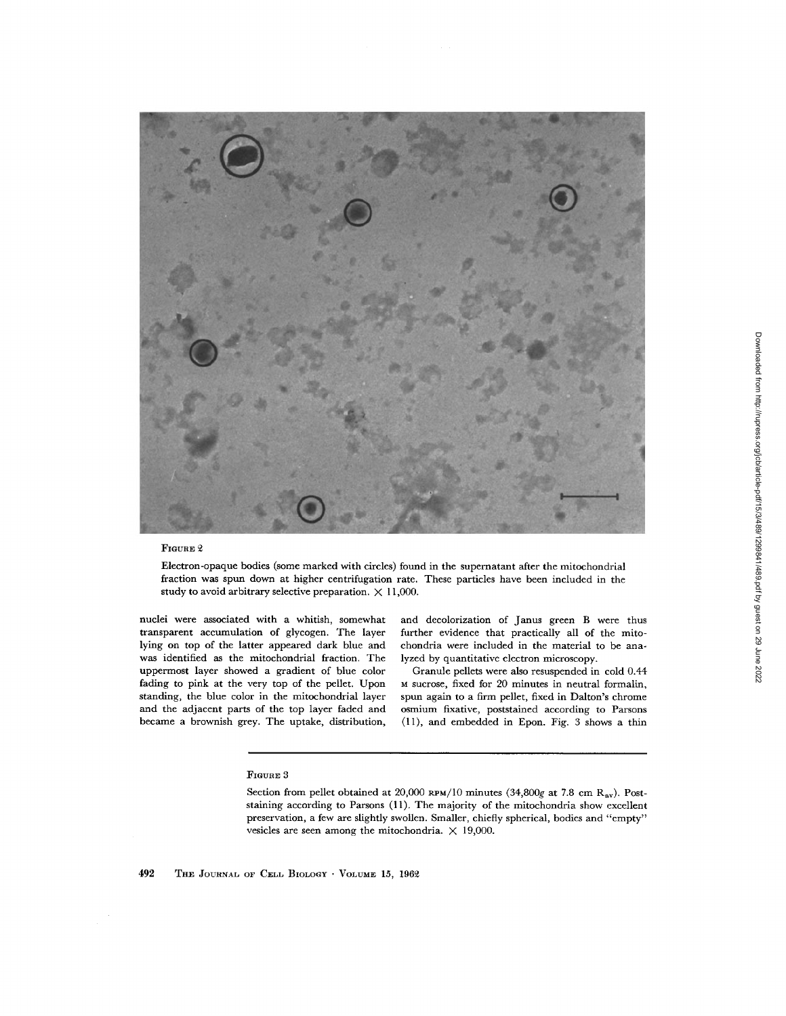

#### FIGURE 2

Electron-opaque bodies (some marked with circles) found in the supernatant after the mitochondrial fraction was spun down at higher centrifugation rate. These particles have been included in the study to avoid arbitrary selective preparation.  $\times$  11,000.

nuclei were associated with a whitish, somewhat transparent accumulation of glycogen. The layer lying on top of the latter appeared dark blue and was identified as the mitochondrial fraction. The uppermost layer showed a gradient of blue color fading to pink at the very top of the pellet. Upon standing, the blue color in the mitochondrial layer and the adjacent parts of the top layer faded and became a brownish grey. The uptake, distribution,

and decolorization of Janus green B were thus further evidence that practically all of the mitochondria were included in the material to be analyzed by quantitative electron microscopy.

Granule pellets were also resuspended in cold 0.44 M sucrose, fixed for 20 minutes in neutral formalin, spun again to a firm pellet, fixed in Dalton's chrome osmium fixative, poststained according to Parsons (11), and embedded in Epon. Fig. 3 shows a thin

#### FIGURE **3**

Section from pellet obtained at 20,000 RPM/10 minutes  $(34,800g$  at 7.8 cm R<sub>ay</sub>). Poststaining according to Parsons (11). The majority of the mitochondria show excellent preservation, a few are slightly swollen. Smaller, chiefly spherical, bodies and "empty" vesicles are seen among the mitochondria.  $\times$  19,000.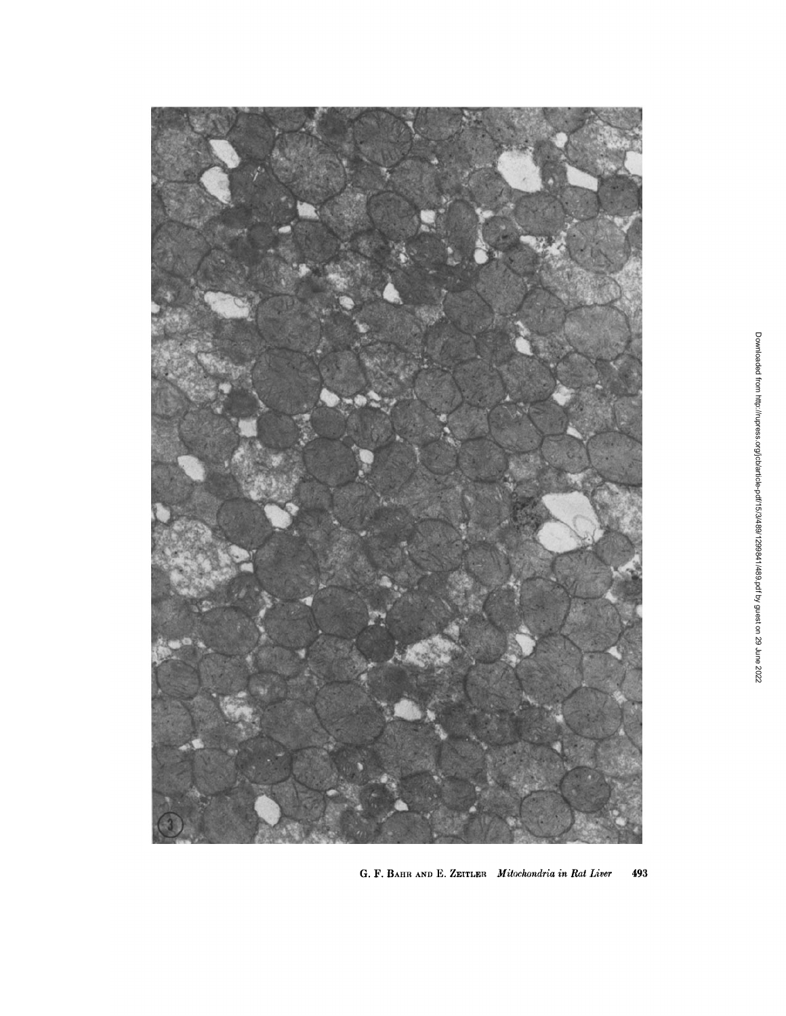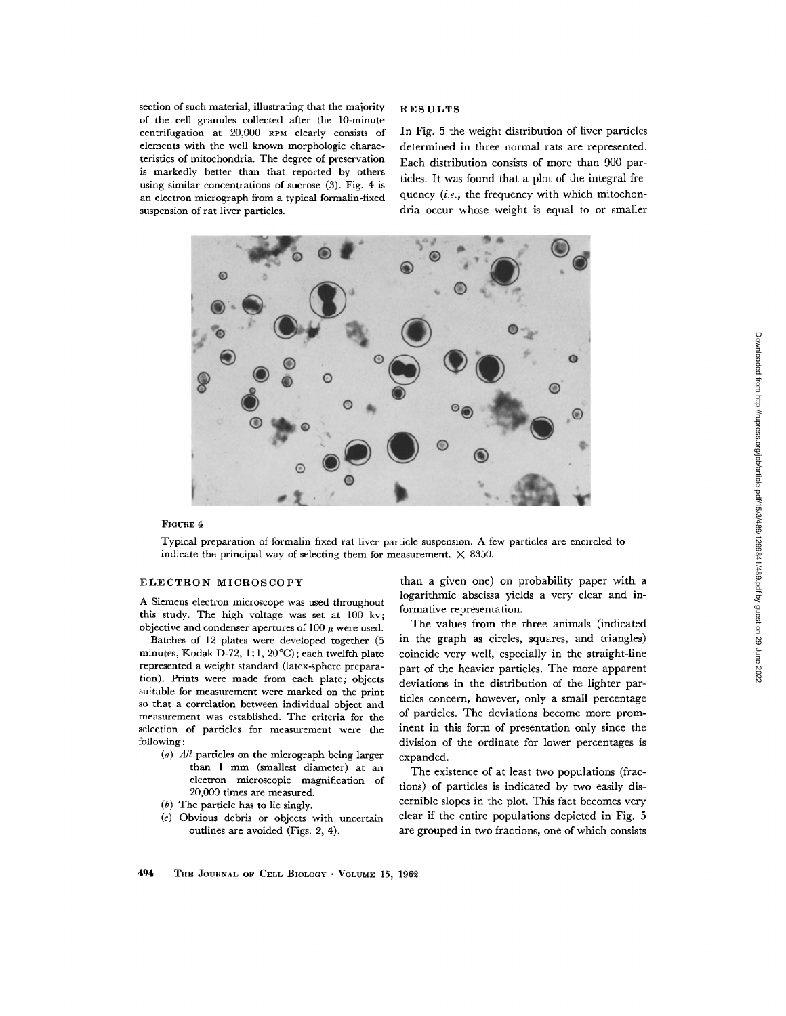of the cell granules collected after the 10-minute centrifugation at 20,000 RPM clearly consists of elements with the well known morphologic characteristics of mitochondria. The degree of preservation is markedly better than that reported by others using similar concentrations of sucrose (3). Fig. 4 is an electron micrograph from a typical formalin-fixed In Fig. 5 the weight distribution of liver particles determined in three normal rats are represented. Each distribution consists of more than 900 particles. It was found that a plot of the integral frequency *(i.e.,* the frequency with which mitochondria occur whose weight is equal to or smaller

RESULTS



## FIGURE 4

Typical preparation of formalin fixed rat liver particle suspension. A few particles are encircled to indicate the principal way of selecting them for measurement.  $\times$  8350.

#### ELECTRON MICROSCOPY

A Siemens electron microscope was used throughout this study. The high voltage was set at 100 kv; objective and condenser apertures of 100  $\mu$  were used.

section of such material, illustrating that the majority

suspension of rat liver particles.

Batches of 12 plates were developed together (5 minutes, Kodak D-72, 1:1, 20°C); each twelfth plate represented a weight standard (latex-sphere preparation). Prints were made from each plate; objects suitablc for measurement wcre marked on the print so that a correlation between individual object and measurement was established. The criteria for the selection of particles for measurement were the following :

- *(a) All* particles on the micrograph being larger than 1 mm (smallest diameter) at an electron microscopic magnification of 20,000 times are measured.
- (b) The particle has to lie singly.
- (c) Obvious debris or objects with uncertain outlines are avoided (Figs. 2, 4).

than a given one) on probability paper with a logarithmic abscissa yields a very clear and informative representation.

The values from the three animals (indicated in the graph as circles, squares, and triangles) coincide very well, especially in the straight-line part of the heavier particles. The more apparent deviations in the distribution of the lighter particles concern, however, only a small percentage of particles. The deviations become more prominent in this form of presentation only since the division of the ordinate for lower percentages is expanded.

The existence of at least two populations (fractions) of particles is indicated by two easily discernible slopes in the plot. This fact becomes very clear if the entire populations depicted in Fig. 5 are grouped in two fractions, one of which consists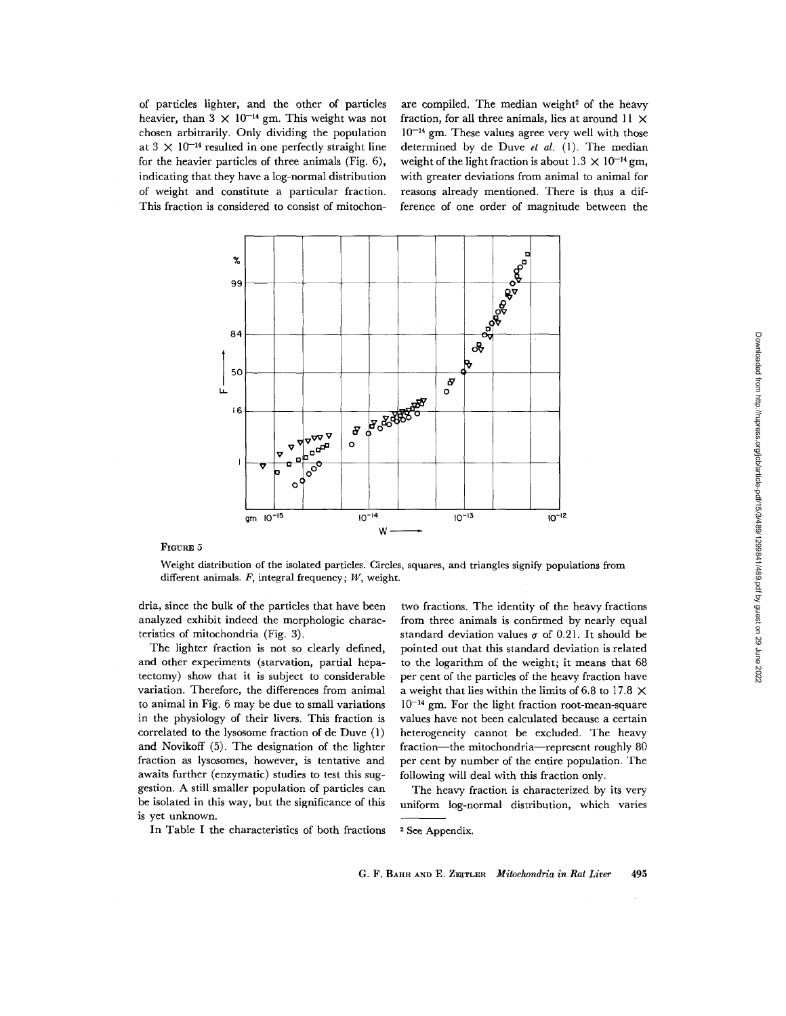of particles lighter, and the other of particles heavier, than  $3 \times 10^{-14}$  gm. This weight was not chosen arbitrarily. Only dividing the population at  $3 \times 10^{-14}$  resulted in one perfectly straight line for the heavier particles of three animals (Fig. 6), indicating that they have a log-normal distribution of weight and constitute a particular fraction. This fraction is considered to consist of mitochon-

are compiled. The median weight<sup>2</sup> of the heavy fraction, for all three animals, lies at around  $11 \times$  $10^{-14}$  gm. These values agree very well with those determined by de Duve *et al.* (1). The median weight of the light fraction is about  $1.3 \times 10^{-14}$  gm, with greater deviations from animal to animal for reasons already mentioned. There is thus a difference of one order of magnitude between the



# FIGURE 5

Weight distribution of the isolated particles. Circles, squares, and triangles signify populations from different animals.  $F$ , integral frequency;  $W$ , weight.

dria, since the bulk of the particles that have been analyzed exhibit indeed the morphologic characteristics of mitochondria (Fig. 3).

The lighter fraction is not so clearly defined, and other experiments (starvation, partial hepatectomy) show that it is subject to considerable variation. Therefore, the differences from animal to animal in Fig. 6 may be due to small variations in the physiology of their livers. This fraction is correlated to the lysosome fraction of de Duve (1) and Novikoff (5). The designation of the lighter fraction as lysosomes, however, is tentative and awaits further (enzymatic) studies to test this suggestion. A still smaller population of particles can be isolated in this way, but the significance of this is yet unknown.

two fractions. The identity of the heavy fractions from three animals is confirmed by nearly equal standard deviation values  $\sigma$  of 0.21. It should be pointed out that this standard deviation is related to the logarithm of the weight; it means that 68 per cent of the particles of the heavy fraction have a weight that lies within the limits of 6.8 to 17.8  $\times$  $10<sup>-14</sup>$  gm. For the light fraction root-mean-square values have not been calculated because a certain heterogeneity cannot be excluded. The heavy fraction-the mitochondria-represent roughly 80 per cent by number of the entire population. The following will deal with this fraction only.

The heavy fraction is characterized by its very uniform log-normal distribution, which varies

In Table I the characteristics of both fractions

<sup>2</sup> See Appendix.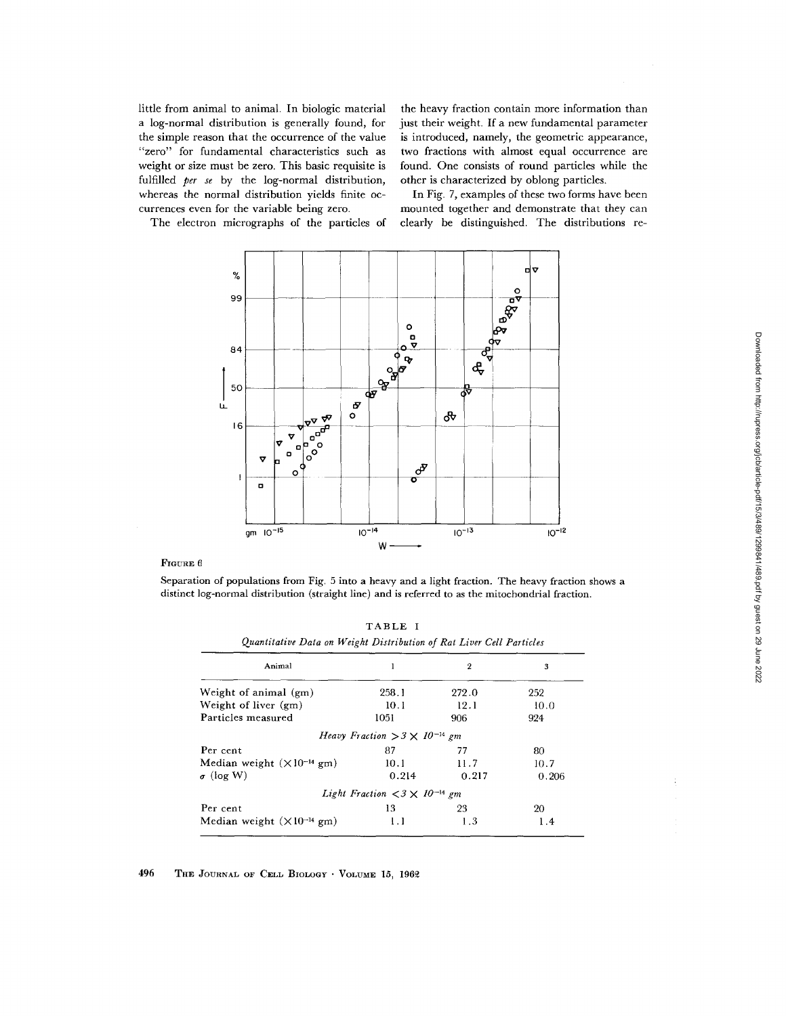little from animal to animal. In biologic material a log-normal distribution is generally found, for the simple reason that the occurrence of the value "zero" for fundamental characteristics such as weight or size must be zero. This basic requisite is fulfilled *per se* by the log-normal distribution, whereas the normal distribution yields finite occurrences even for the variable being zero.

the heavy fraction contain more information than just their weight. If a new fundamental parameter is introduced, namely, the geometric appearance, two fractions with almost equal occurrence are found. One consists of round particles while the other is characterized by oblong particles.

The electron mierographs of the particles of

In Fig. 7, examples of these two forms have been mounted together and demonstrate that they can clearly be distinguished. The distributions re-



# FIGURE 6

Separation of populations from Fig. 5 into a heavy and a light fraction. The heavy fraction shows a distinct log-normal distribution (straight line) and is referred to as the mitochondrial fraction.

| Animal                               | ı                                                     | 2     | 3     |
|--------------------------------------|-------------------------------------------------------|-------|-------|
| Weight of animal (gm)                | 258.1                                                 | 272.0 | 252   |
| Weight of liver (gm)                 | 10.1                                                  | 12.1  | 10.0  |
| Particles measured                   | 1051                                                  | 906   | 924   |
|                                      | Heavy Fraction $> 3 \times 10^{-14}$ gm               |       |       |
| Per cent                             | 87                                                    | 77    | 80    |
| Median weight $(\times 10^{-14}$ gm) | 10.1                                                  | 11.7  | 10.7  |
| $\sigma$ (log W)                     | 0.214                                                 | 0.217 | 0.206 |
|                                      | Light Fraction $\langle 3 \times 10^{-14} \rangle$ gm |       |       |
| Per cent                             | 13                                                    | 23    | 20    |
| Median weight $(\times 10^{-14}$ gm) | 1.1                                                   | 1.3   | 1.4   |

TABLE I *Quantitative Data on Weight Distribution of Rat Liver Cell Particles* 

## 496 THE JOURNAL OF CELL BIOLOGY · VOLUME 15, 1962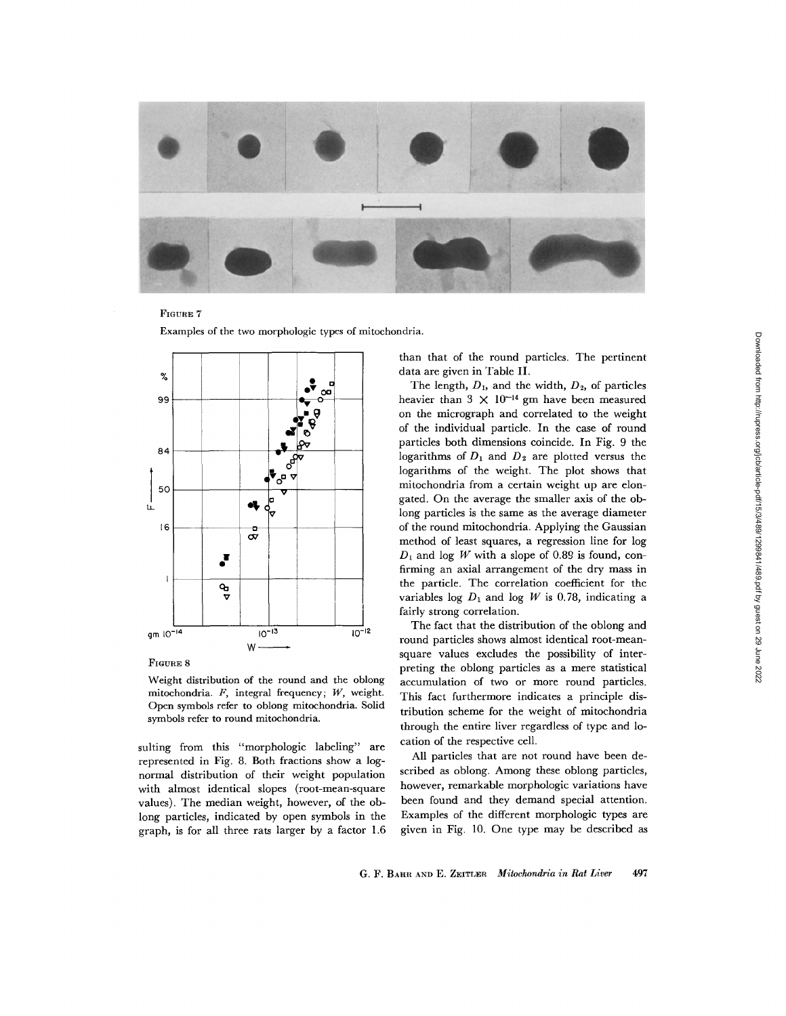

#### FIGURE 7

Examples of the two morphologic types of mitochondria.



FIGURE 8

Weight distribution of the round and the oblong mitochondria. F, integral frequency; W, weight. Open symbols refer to oblong mitochondria. Solid symbols refer to round mitochondria.

sulting from this "morphologic labeling" are represented in Fig. 8. Both fractions show a lognormal distribution of their weight population with almost identical slopes (root-mean-square values). The median weight, however, of the oblong particles, indicated by open symbols in the graph, is for all three rats larger by a factor 1.6 than that of the round particles. The pertinent data are given in Table II.

The length,  $D_1$ , and the width,  $D_2$ , of particles heavier than  $3 \times 10^{-14}$  gm have been measured on the micrograph and correlated to the weight of the individual particle. In the case of round particles both dimensions coincide. In Fig. 9 the logarithms of  $D_1$  and  $D_2$  are plotted versus the logarithms of the weight. The plot shows that mitochondria from a certain weight up are elongated. On the average the smaller axis of the oblong particles is the same as the average diameter of the round mitochondria. Applying the Gaussian method of least squares, a regression line for log  $D_1$  and log W with a slope of 0.89 is found, confirming an axial arrangement of the dry mass in the particle. The correlation coefficient for the variables log  $D_1$  and log W is 0.78, indicating a fairly strong correlation.

The fact that the distribution of the oblong and round particles shows almost identical root-meansquare values excludes the possibility of interpreting the oblong particles as a mere statistical accumulation of two or more round particles. This fact furthermore indicates a principle distribution scheme for the weight of mitochondria through the entire liver regardless of type and location of the respective cell.

All particles that are not round have been described as oblong. Among these oblong particles, however, remarkable morphologic variations have been found and they demand special attention. Examples of the different morphologic types are given in Fig. 10. One type may be described as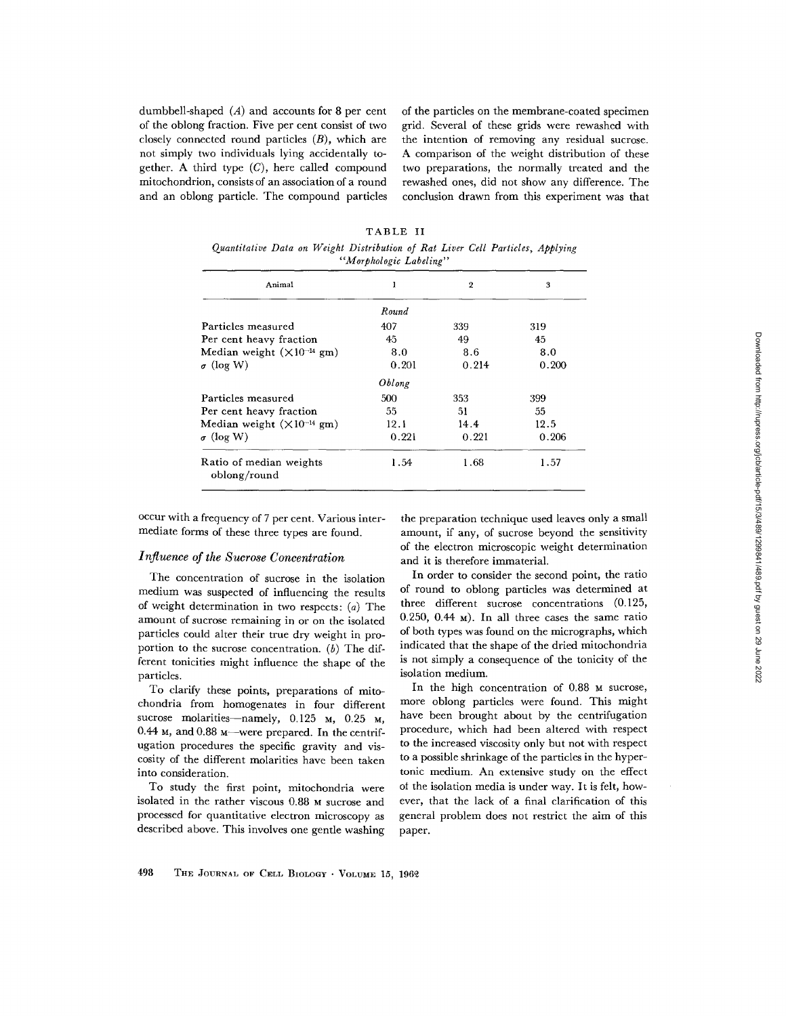dumbbell-shaped  $(A)$  and accounts for 8 per cent of the oblong fraction. Five per cent consist of two closely connected round particles  $(B)$ , which are not simply two individuals lying accidentally together. A third type  $(C)$ , here called compound mitochondrion, consists of an association of a round and an oblong particle. The compound particles of the particles on the membrane-coated specimen grid. Several of these grids were rewashed with the intention of removing any residual sucrose. A comparison of the weight distribution of these two preparations, the normally treated and the rewashed ones, did not show any difference. The conclusion drawn from this experiment was that

TABLE II *Quantitative Data on Weight Distribution of Rat Liver Cell Particles, Applying "Morphologic Labeling"* 

| Animal                                  |        | $\overline{2}$ | 3     |
|-----------------------------------------|--------|----------------|-------|
|                                         | Round  |                |       |
| Particles measured                      | 407    | 339            | 319   |
| Per cent heavy fraction                 | 45     | 49             | 45    |
| Median weight $(\times 10^{-14}$ gm)    | 8.0    | 8.6            | 8.0   |
| $\sigma$ (log W)                        | 0.201  | 0.214          | 0.200 |
|                                         | Oblong |                |       |
| Particles measured                      | 500    | 353            | 399   |
| Per cent heavy fraction                 | 55     | 51             | 55    |
| Median weight $(\times 10^{-14}$ gm)    | 12.1   | 14.4           | 12.5  |
| $\sigma$ (log W)                        | 0.221  | 0.221          | 0.206 |
| Ratio of median weights<br>oblong/round | 1.54   | 1.68           | 1.57  |

occur with a frequency of 7 per cent. Various intermediate forms of these three types are found.

# *Influence of the Sucrose Concentration*

The concentration of sucrose in the isolation medium was suspected of influencing the results of weight determination in two respects: (a) The amount of sucrose remaining in or on the isolated particles could alter their true dry weight in proportion to the sucrose concentration.  $(b)$  The different tonicities might influence the shape of the particles.

To clarify these points, preparations of mitochondria from homogenates in four different sucrose molarities---namely,  $0.125$   $M$ ,  $0.25$   $M$ . 0.44  $\mu$ , and 0.88  $\mu$ —were prepared. In the centrifugation procedures the specific gravity and viscosity of the different molarities have been taken into consideration.

To study the first point, mitochondria were isolated in the rather viscous 0.88 M sucrose and processed for quantitative electron microscopy as described above. This involves one gentle washing

the preparation technique used leaves only a small amount, if any, of sucrose beyond the sensitivity of the electron microscopic weight determination and it is therefore immaterial.

In order to consider the second point, the ratio of round to oblong particles was determined at three different sucrose concentrations (0.125, 0.250, 0.44  $\mu$ ). In all three cases the same ratio of both types was found on the micrographs, which indicated that the shape of the dried mitochondria is not simply a consequence of the tonicity of the isolation medium.

In the high concentration of 0.88 M sucrose, more oblong particles were found. This might have been brought about by the centrifugation procedure, which had been altered with respect to the increased viscosity only but not with respect to a possible shrinkage of the particles in the hypertonic medium. An extensive study on the effect of the isolation media is under way. It is felt, however, that the lack of a final clarification of this general problem does not restrict the aim of this paper.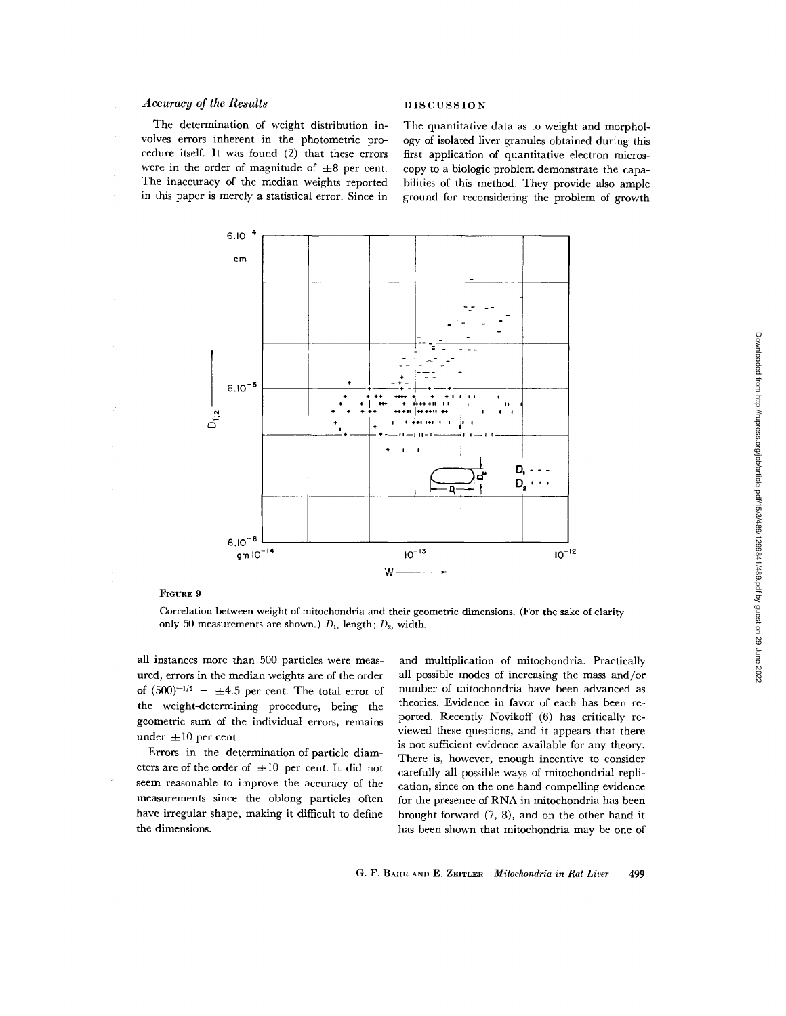# DISCUSSION

The determination of weight distribution involves errors inherent in the photometric procedure itself. It was found (2) that these errors were in the order of magnitude of  $\pm 8$  per cent. The inaccuracy of the median weights reported in this paper is merely a statistical error. Since in

The quantitative data as to weight and morphology of isolated liver granules obtained during this first application of quantitative electron microscopy to a biologic problem demonstrate the capabilities of this method. They provide also ample ground for reconsidering the problem of growth



# FIGURE 9

Correlation between weight of mitochondria and their geometric dimensions. (For the sake of clarity only 50 measurements are shown.)  $D_1$ , length;  $D_2$ , width.

all instances more than 500 particles were measured, errors in the median weights are of the order of  $(500)^{-1/2}$  =  $\pm 4.5$  per cent. The total error of the weight-determining procedure, being the geometric sum of the individual errors, remains under  $\pm 10$  per cent.

Errors in the determination of particle diameters are of the order of  $\pm 10$  per cent. It did not seem reasonable to improve the accuracy of the measurements since the oblong particles often have irregular shape, making it difficult to define the dimensions.

and multiplication of mitochondria. Practically all possible modes of increasing the mass and/or number of mitochondria have been advanced as theories. Evidence in favor of each has been reported. Recently Novikoff (6) has critically reviewed these questions, and it appears that there is not sufficient evidence available for any theory. There is, however, enough incentive to consider carefully all possible ways of mitochondrial replication, since on the one hand compelling evidence for the presence of RNA in mitochondria has been brought forward (7, 8), and on the other hand it has been shown that mitochondria may be one of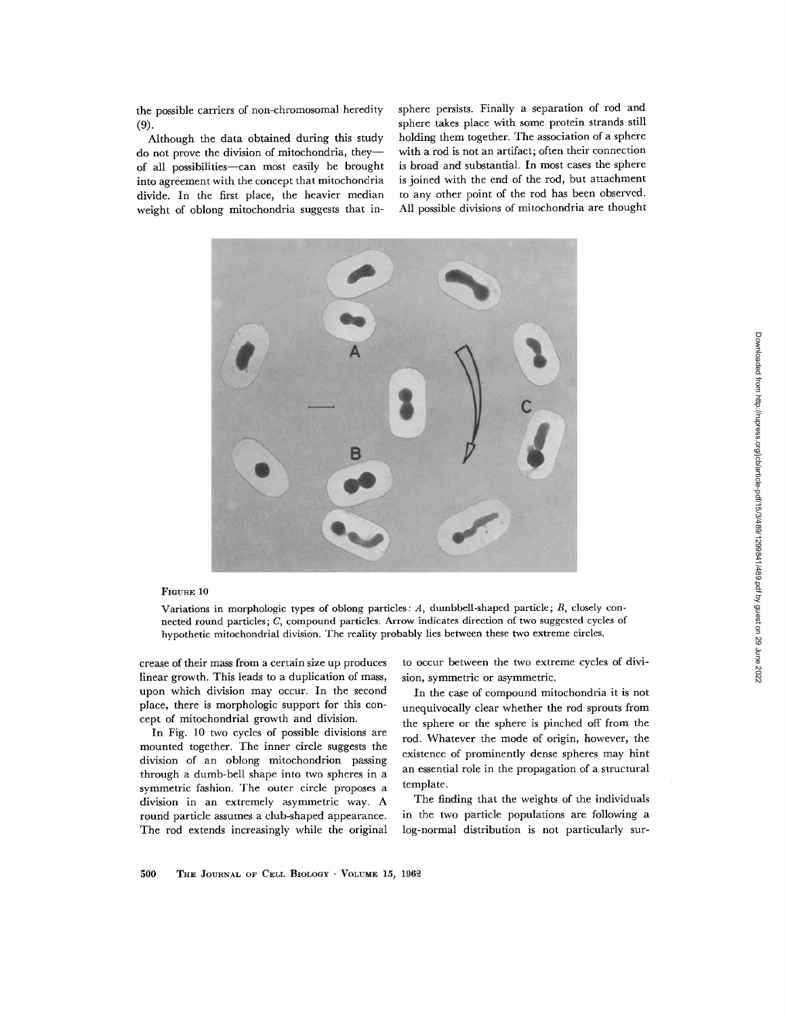the possible carriers of non-chromosomal heredity (9).

Although the data obtained during this study do not prove the division of mitochondria, they-of all possibilities-can most easily be brought into agreement with the concept that mitochondria divide. In the first place, the heavier median weight of oblong mitochondria suggests that insphere persists. Finally a separation of rod and sphere takes place with some protein strands still holding them together. The association of a sphere with a rod is not an artifact; often their connection is broad and substantial. In most cases the sphere is joined with the end of the rod, but attachment to any other point of the rod has been observed. All possible divisions of mitochondria are thought



#### FIGURE 10

Variations in morphologic types of oblong particles: A, dumbbell-shaped particle; B, closely connected round particles; C, compound particles. Arrow indicates direction of two suggested cycles of hypothetic mitochondrial division. The reality probably lies between these two extreme circles.

crease of their mass from a certain size up produces linear growth. This leads to a duplication of mass, upon which division may occur. In the second place, there is morphologic support for this concept of mitochondrial growth and division.

In Fig. 10 two cycles of possible divisions are mounted together. The inner circle suggests the division of an oblong mitochondrion passing through a dumb-bell shape into two spheres in a symmetric fashion. The outer circle proposes a division in an extremely asymmetric way. A round particle assumes a club-shaped appearance. The rod extends increasingly while the original to occur between the two extreme cycles of division, symmetric or asymmetric.

In the case of compound mitochondria it is not unequivocally clear whether the rod sprouts from the sphere or the sphere is pinched off from the rod. Whatever the mode of origin, however, the existence of prominently dense spheres may hint an essential role in the propagation of a structural template.

The finding that the weights of the individuals in the two particle populations are following a log-normal distribution is not particularly sur